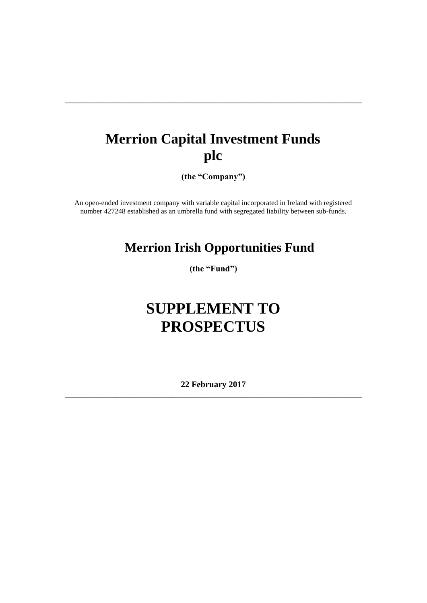# **Merrion Capital Investment Funds plc**

**\_\_\_\_\_\_\_\_\_\_\_\_\_\_\_\_\_\_\_\_\_\_\_\_\_\_\_\_\_\_\_\_\_\_\_\_\_\_\_\_\_\_\_\_\_\_\_\_\_\_\_\_\_\_\_\_\_\_\_\_\_\_\_\_\_\_\_\_\_**

**(the "Company")**

An open-ended investment company with variable capital incorporated in Ireland with registered number 427248 established as an umbrella fund with segregated liability between sub-funds.

## **Merrion Irish Opportunities Fund**

**(the "Fund")**

# **SUPPLEMENT TO PROSPECTUS**

**22 February 2017** \_\_\_\_\_\_\_\_\_\_\_\_\_\_\_\_\_\_\_\_\_\_\_\_\_\_\_\_\_\_\_\_\_\_\_\_\_\_\_\_\_\_\_\_\_\_\_\_\_\_\_\_\_\_\_\_\_\_\_\_\_\_\_\_\_\_\_\_\_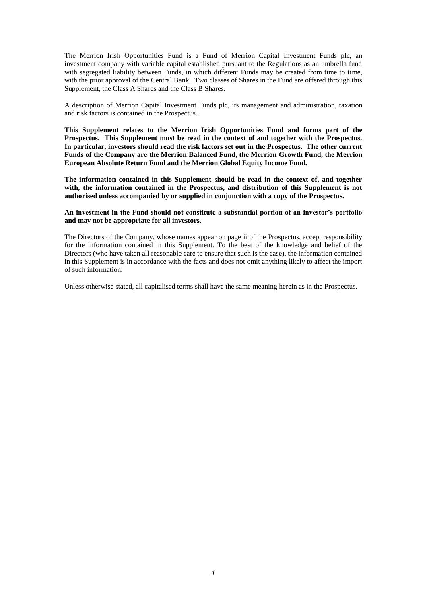The Merrion Irish Opportunities Fund is a Fund of Merrion Capital Investment Funds plc, an investment company with variable capital established pursuant to the Regulations as an umbrella fund with segregated liability between Funds, in which different Funds may be created from time to time, with the prior approval of the Central Bank. Two classes of Shares in the Fund are offered through this Supplement, the Class A Shares and the Class B Shares.

A description of Merrion Capital Investment Funds plc, its management and administration, taxation and risk factors is contained in the Prospectus.

**This Supplement relates to the Merrion Irish Opportunities Fund and forms part of the Prospectus. This Supplement must be read in the context of and together with the Prospectus. In particular, investors should read the risk factors set out in the Prospectus. The other current Funds of the Company are the Merrion Balanced Fund, the Merrion Growth Fund, the Merrion European Absolute Return Fund and the Merrion Global Equity Income Fund.**

**The information contained in this Supplement should be read in the context of, and together with, the information contained in the Prospectus, and distribution of this Supplement is not authorised unless accompanied by or supplied in conjunction with a copy of the Prospectus.** 

**An investment in the Fund should not constitute a substantial portion of an investor's portfolio and may not be appropriate for all investors.**

The Directors of the Company, whose names appear on page ii of the Prospectus, accept responsibility for the information contained in this Supplement. To the best of the knowledge and belief of the Directors (who have taken all reasonable care to ensure that such is the case), the information contained in this Supplement is in accordance with the facts and does not omit anything likely to affect the import of such information.

Unless otherwise stated, all capitalised terms shall have the same meaning herein as in the Prospectus.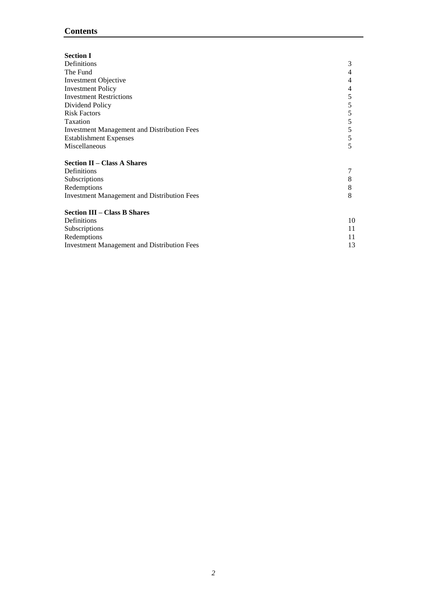## **Contents**

| <b>Section I</b>                                   |    |
|----------------------------------------------------|----|
| Definitions                                        | 3  |
|                                                    |    |
| The Fund                                           | 4  |
| <b>Investment Objective</b>                        | 4  |
| <b>Investment Policy</b>                           | 4  |
| <b>Investment Restrictions</b>                     | 5  |
| Dividend Policy                                    | 5  |
| <b>Risk Factors</b>                                | 5  |
| Taxation                                           | 5  |
| <b>Investment Management and Distribution Fees</b> | 5  |
| <b>Establishment Expenses</b>                      | 5  |
| Miscellaneous                                      | 5  |
| <b>Section II - Class A Shares</b>                 |    |
| Definitions                                        |    |
| Subscriptions                                      | 8  |
| Redemptions                                        | 8  |
| <b>Investment Management and Distribution Fees</b> | 8  |
| <b>Section III - Class B Shares</b>                |    |
| Definitions                                        | 10 |
| Subscriptions                                      | 11 |
| Redemptions                                        | 11 |
| <b>Investment Management and Distribution Fees</b> | 13 |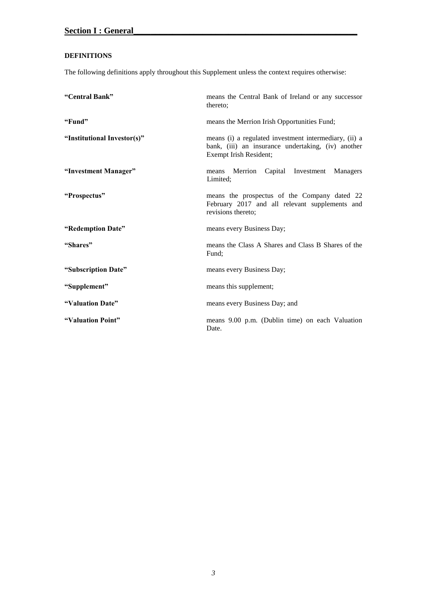## <span id="page-3-0"></span>**DEFINITIONS**

The following definitions apply throughout this Supplement unless the context requires otherwise:

| "Central Bank"              | means the Central Bank of Ireland or any successor<br>thereto:                                                                        |
|-----------------------------|---------------------------------------------------------------------------------------------------------------------------------------|
| "Fund"                      | means the Merrion Irish Opportunities Fund;                                                                                           |
| "Institutional Investor(s)" | means (i) a regulated investment intermediary, (ii) a<br>bank, (iii) an insurance undertaking, (iv) another<br>Exempt Irish Resident; |
| "Investment Manager"        | Merrion Capital Investment Managers<br>means<br>Limited;                                                                              |
| "Prospectus"                | means the prospectus of the Company dated 22<br>February 2017 and all relevant supplements and<br>revisions thereto;                  |
| "Redemption Date"           | means every Business Day;                                                                                                             |
| "Shares"                    | means the Class A Shares and Class B Shares of the<br>Fund:                                                                           |
| "Subscription Date"         | means every Business Day;                                                                                                             |
| "Supplement"                | means this supplement;                                                                                                                |
| "Valuation Date"            | means every Business Day; and                                                                                                         |
| "Valuation Point"           | means 9.00 p.m. (Dublin time) on each Valuation<br>Date.                                                                              |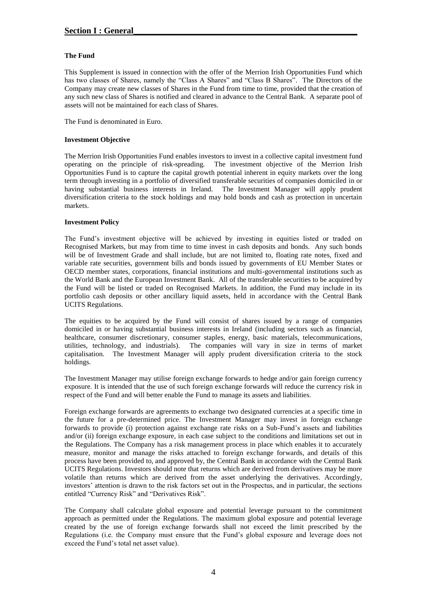#### <span id="page-4-0"></span>**The Fund**

This Supplement is issued in connection with the offer of the Merrion Irish Opportunities Fund which has two classes of Shares, namely the "Class A Shares" and "Class B Shares". The Directors of the Company may create new classes of Shares in the Fund from time to time, provided that the creation of any such new class of Shares is notified and cleared in advance to the Central Bank. A separate pool of assets will not be maintained for each class of Shares.

The Fund is denominated in Euro.

#### <span id="page-4-1"></span>**Investment Objective**

The Merrion Irish Opportunities Fund enables investors to invest in a collective capital investment fund operating on the principle of risk-spreading. The investment objective of the Merrion Irish Opportunities Fund is to capture the capital growth potential inherent in equity markets over the long term through investing in a portfolio of diversified transferable securities of companies domiciled in or having substantial business interests in Ireland. The Investment Manager will apply prudent diversification criteria to the stock holdings and may hold bonds and cash as protection in uncertain markets.

#### <span id="page-4-2"></span>**Investment Policy**

The Fund's investment objective will be achieved by investing in equities listed or traded on Recognised Markets, but may from time to time invest in cash deposits and bonds. Any such bonds will be of Investment Grade and shall include, but are not limited to, floating rate notes, fixed and variable rate securities, government bills and bonds issued by governments of EU Member States or OECD member states, corporations, financial institutions and multi-governmental institutions such as the World Bank and the European Investment Bank. All of the transferable securities to be acquired by the Fund will be listed or traded on Recognised Markets. In addition, the Fund may include in its portfolio cash deposits or other ancillary liquid assets, held in accordance with the Central Bank UCITS Regulations.

The equities to be acquired by the Fund will consist of shares issued by a range of companies domiciled in or having substantial business interests in Ireland (including sectors such as financial, healthcare, consumer discretionary, consumer staples, energy, basic materials, telecommunications, utilities, technology, and industrials). The companies will vary in size in terms of market capitalisation. The Investment Manager will apply prudent diversification criteria to the stock holdings.

The Investment Manager may utilise foreign exchange forwards to hedge and/or gain foreign currency exposure. It is intended that the use of such foreign exchange forwards will reduce the currency risk in respect of the Fund and will better enable the Fund to manage its assets and liabilities.

Foreign exchange forwards are agreements to exchange two designated currencies at a specific time in the future for a pre-determined price. The Investment Manager may invest in foreign exchange forwards to provide (i) protection against exchange rate risks on a Sub-Fund's assets and liabilities and/or (ii) foreign exchange exposure, in each case subject to the conditions and limitations set out in the Regulations. The Company has a risk management process in place which enables it to accurately measure, monitor and manage the risks attached to foreign exchange forwards, and details of this process have been provided to, and approved by, the Central Bank in accordance with the Central Bank UCITS Regulations. Investors should note that returns which are derived from derivatives may be more volatile than returns which are derived from the asset underlying the derivatives. Accordingly, investors' attention is drawn to the risk factors set out in the Prospectus, and in particular, the sections entitled "Currency Risk" and "Derivatives Risk".

The Company shall calculate global exposure and potential leverage pursuant to the commitment approach as permitted under the Regulations. The maximum global exposure and potential leverage created by the use of foreign exchange forwards shall not exceed the limit prescribed by the Regulations (i.e. the Company must ensure that the Fund's global exposure and leverage does not exceed the Fund's total net asset value).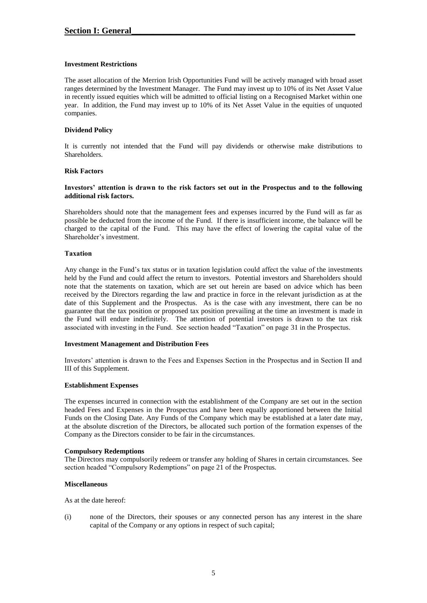#### <span id="page-5-0"></span>**Investment Restrictions**

The asset allocation of the Merrion Irish Opportunities Fund will be actively managed with broad asset ranges determined by the Investment Manager. The Fund may invest up to 10% of its Net Asset Value in recently issued equities which will be admitted to official listing on a Recognised Market within one year. In addition, the Fund may invest up to 10% of its Net Asset Value in the equities of unquoted companies.

#### <span id="page-5-1"></span>**Dividend Policy**

It is currently not intended that the Fund will pay dividends or otherwise make distributions to Shareholders.

#### <span id="page-5-2"></span>**Risk Factors**

#### **Investors' attention is drawn to the risk factors set out in the Prospectus and to the following additional risk factors.**

Shareholders should note that the management fees and expenses incurred by the Fund will as far as possible be deducted from the income of the Fund. If there is insufficient income, the balance will be charged to the capital of the Fund. This may have the effect of lowering the capital value of the Shareholder's investment.

#### <span id="page-5-3"></span>**Taxation**

Any change in the Fund's tax status or in taxation legislation could affect the value of the investments held by the Fund and could affect the return to investors. Potential investors and Shareholders should note that the statements on taxation, which are set out herein are based on advice which has been received by the Directors regarding the law and practice in force in the relevant jurisdiction as at the date of this Supplement and the Prospectus. As is the case with any investment, there can be no guarantee that the tax position or proposed tax position prevailing at the time an investment is made in the Fund will endure indefinitely. The attention of potential investors is drawn to the tax risk associated with investing in the Fund. See section headed "Taxation" on page 31 in the Prospectus.

#### <span id="page-5-4"></span>**Investment Management and Distribution Fees**

Investors' attention is drawn to the Fees and Expenses Section in the Prospectus and in Section II and III of this Supplement.

#### <span id="page-5-5"></span>**Establishment Expenses**

The expenses incurred in connection with the establishment of the Company are set out in the section headed Fees and Expenses in the Prospectus and have been equally apportioned between the Initial Funds on the Closing Date. Any Funds of the Company which may be established at a later date may, at the absolute discretion of the Directors, be allocated such portion of the formation expenses of the Company as the Directors consider to be fair in the circumstances.

#### **Compulsory Redemptions**

The Directors may compulsorily redeem or transfer any holding of Shares in certain circumstances. See section headed "Compulsory Redemptions" on page 21 of the Prospectus.

#### <span id="page-5-6"></span>**Miscellaneous**

As at the date hereof:

(i) none of the Directors, their spouses or any connected person has any interest in the share capital of the Company or any options in respect of such capital;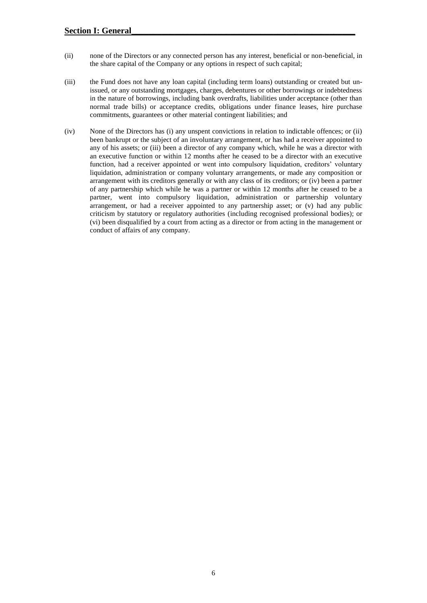- (ii) none of the Directors or any connected person has any interest, beneficial or non-beneficial, in the share capital of the Company or any options in respect of such capital;
- (iii) the Fund does not have any loan capital (including term loans) outstanding or created but unissued, or any outstanding mortgages, charges, debentures or other borrowings or indebtedness in the nature of borrowings, including bank overdrafts, liabilities under acceptance (other than normal trade bills) or acceptance credits, obligations under finance leases, hire purchase commitments, guarantees or other material contingent liabilities; and
- (iv) None of the Directors has (i) any unspent convictions in relation to indictable offences; or (ii) been bankrupt or the subject of an involuntary arrangement, or has had a receiver appointed to any of his assets; or (iii) been a director of any company which, while he was a director with an executive function or within 12 months after he ceased to be a director with an executive function, had a receiver appointed or went into compulsory liquidation, creditors' voluntary liquidation, administration or company voluntary arrangements, or made any composition or arrangement with its creditors generally or with any class of its creditors; or (iv) been a partner of any partnership which while he was a partner or within 12 months after he ceased to be a partner, went into compulsory liquidation, administration or partnership voluntary arrangement, or had a receiver appointed to any partnership asset; or (v) had any public criticism by statutory or regulatory authorities (including recognised professional bodies); or (vi) been disqualified by a court from acting as a director or from acting in the management or conduct of affairs of any company.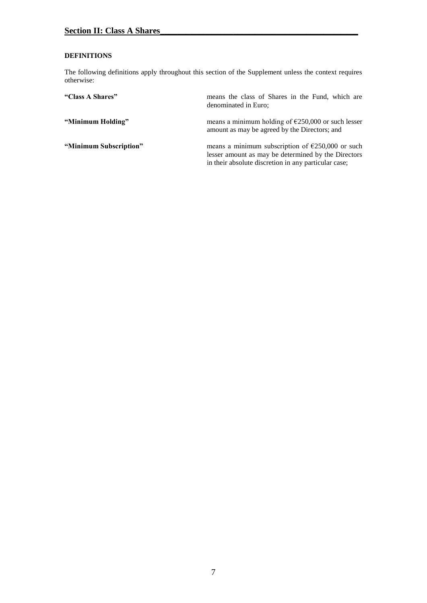#### <span id="page-7-0"></span>**DEFINITIONS**

The following definitions apply throughout this section of the Supplement unless the context requires otherwise:

| "Class A Shares"       | means the class of Shares in the Fund, which are<br>denominated in Euro;                                                                                                  |
|------------------------|---------------------------------------------------------------------------------------------------------------------------------------------------------------------------|
| "Minimum Holding"      | means a minimum holding of $\epsilon$ 250,000 or such lesser<br>amount as may be agreed by the Directors; and                                                             |
| "Minimum Subscription" | means a minimum subscription of $\epsilon$ 250,000 or such<br>lesser amount as may be determined by the Directors<br>in their absolute discretion in any particular case; |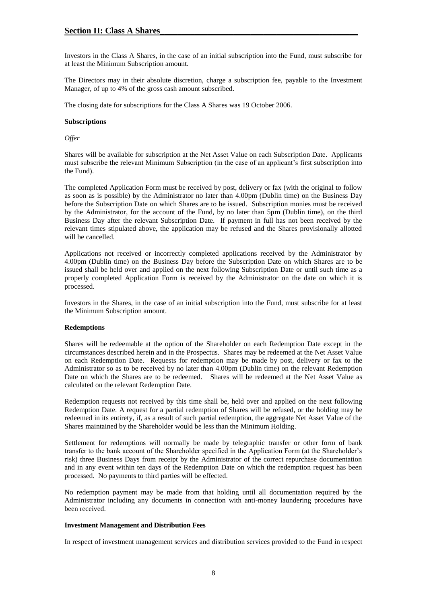Investors in the Class A Shares, in the case of an initial subscription into the Fund, must subscribe for at least the Minimum Subscription amount.

The Directors may in their absolute discretion, charge a subscription fee, payable to the Investment Manager, of up to 4% of the gross cash amount subscribed.

The closing date for subscriptions for the Class A Shares was 19 October 2006.

#### <span id="page-8-0"></span>**Subscriptions**

*Offer*

Shares will be available for subscription at the Net Asset Value on each Subscription Date. Applicants must subscribe the relevant Minimum Subscription (in the case of an applicant's first subscription into the Fund).

The completed Application Form must be received by post, delivery or fax (with the original to follow as soon as is possible) by the Administrator no later than 4.00pm (Dublin time) on the Business Day before the Subscription Date on which Shares are to be issued. Subscription monies must be received by the Administrator, for the account of the Fund, by no later than 5pm (Dublin time), on the third Business Day after the relevant Subscription Date. If payment in full has not been received by the relevant times stipulated above, the application may be refused and the Shares provisionally allotted will be cancelled.

Applications not received or incorrectly completed applications received by the Administrator by 4.00pm (Dublin time) on the Business Day before the Subscription Date on which Shares are to be issued shall be held over and applied on the next following Subscription Date or until such time as a properly completed Application Form is received by the Administrator on the date on which it is processed.

Investors in the Shares, in the case of an initial subscription into the Fund, must subscribe for at least the Minimum Subscription amount.

#### <span id="page-8-1"></span>**Redemptions**

Shares will be redeemable at the option of the Shareholder on each Redemption Date except in the circumstances described herein and in the Prospectus. Shares may be redeemed at the Net Asset Value on each Redemption Date. Requests for redemption may be made by post, delivery or fax to the Administrator so as to be received by no later than 4.00pm (Dublin time) on the relevant Redemption Date on which the Shares are to be redeemed. Shares will be redeemed at the Net Asset Value as calculated on the relevant Redemption Date.

Redemption requests not received by this time shall be, held over and applied on the next following Redemption Date. A request for a partial redemption of Shares will be refused, or the holding may be redeemed in its entirety, if, as a result of such partial redemption, the aggregate Net Asset Value of the Shares maintained by the Shareholder would be less than the Minimum Holding.

Settlement for redemptions will normally be made by telegraphic transfer or other form of bank transfer to the bank account of the Shareholder specified in the Application Form (at the Shareholder's risk) three Business Days from receipt by the Administrator of the correct repurchase documentation and in any event within ten days of the Redemption Date on which the redemption request has been processed. No payments to third parties will be effected.

No redemption payment may be made from that holding until all documentation required by the Administrator including any documents in connection with anti-money laundering procedures have been received.

#### <span id="page-8-2"></span>**Investment Management and Distribution Fees**

In respect of investment management services and distribution services provided to the Fund in respect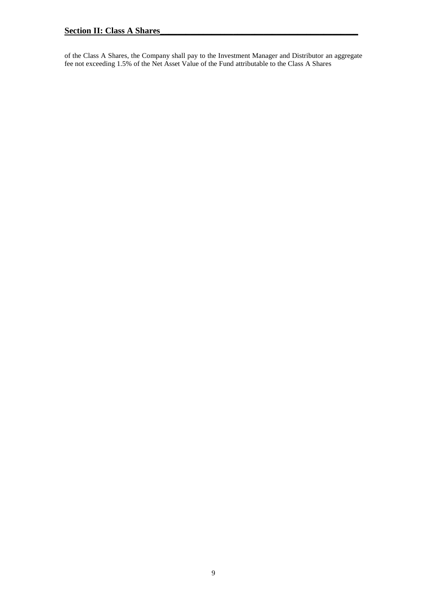of the Class A Shares, the Company shall pay to the Investment Manager and Distributor an aggregate fee not exceeding 1.5% of the Net Asset Value of the Fund attributable to the Class A Shares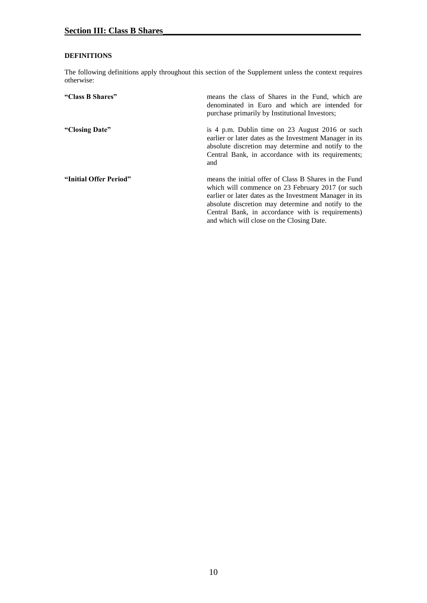#### <span id="page-10-0"></span>**DEFINITIONS**

The following definitions apply throughout this section of the Supplement unless the context requires otherwise:

| "Class B Shares"       | means the class of Shares in the Fund, which are<br>denominated in Euro and which are intended for<br>purchase primarily by Institutional Investors;                                                                                                                                                                          |
|------------------------|-------------------------------------------------------------------------------------------------------------------------------------------------------------------------------------------------------------------------------------------------------------------------------------------------------------------------------|
| "Closing Date"         | is 4 p.m. Dublin time on 23 August 2016 or such<br>earlier or later dates as the Investment Manager in its<br>absolute discretion may determine and notify to the<br>Central Bank, in accordance with its requirements;<br>and                                                                                                |
| "Initial Offer Period" | means the initial offer of Class B Shares in the Fund<br>which will commence on 23 February 2017 (or such<br>earlier or later dates as the Investment Manager in its<br>absolute discretion may determine and notify to the<br>Central Bank, in accordance with is requirements)<br>and which will close on the Closing Date. |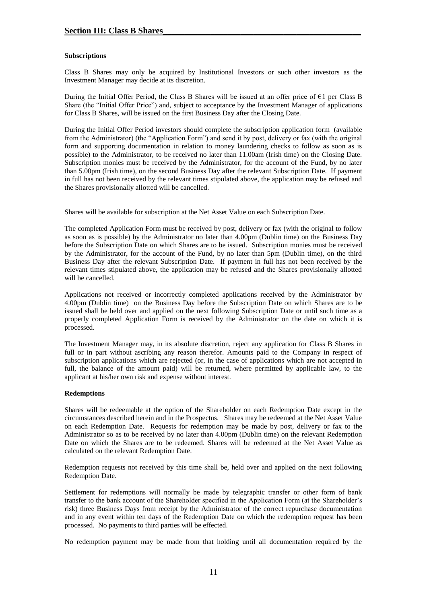#### <span id="page-11-0"></span>**Subscriptions**

Class B Shares may only be acquired by Institutional Investors or such other investors as the Investment Manager may decide at its discretion.

During the Initial Offer Period, the Class B Shares will be issued at an offer price of  $\epsilon_1$  per Class B Share (the "Initial Offer Price") and, subject to acceptance by the Investment Manager of applications for Class B Shares, will be issued on the first Business Day after the Closing Date.

During the Initial Offer Period investors should complete the subscription application form (available from the Administrator) (the "Application Form") and send it by post, delivery or fax (with the original form and supporting documentation in relation to money laundering checks to follow as soon as is possible) to the Administrator, to be received no later than 11.00am (Irish time) on the Closing Date. Subscription monies must be received by the Administrator, for the account of the Fund, by no later than 5.00pm (Irish time), on the second Business Day after the relevant Subscription Date. If payment in full has not been received by the relevant times stipulated above, the application may be refused and the Shares provisionally allotted will be cancelled.

Shares will be available for subscription at the Net Asset Value on each Subscription Date.

The completed Application Form must be received by post, delivery or fax (with the original to follow as soon as is possible) by the Administrator no later than 4.00pm (Dublin time) on the Business Day before the Subscription Date on which Shares are to be issued. Subscription monies must be received by the Administrator, for the account of the Fund, by no later than 5pm (Dublin time), on the third Business Day after the relevant Subscription Date. If payment in full has not been received by the relevant times stipulated above, the application may be refused and the Shares provisionally allotted will be cancelled.

Applications not received or incorrectly completed applications received by the Administrator by 4.00pm (Dublin time) on the Business Day before the Subscription Date on which Shares are to be issued shall be held over and applied on the next following Subscription Date or until such time as a properly completed Application Form is received by the Administrator on the date on which it is processed.

The Investment Manager may, in its absolute discretion, reject any application for Class B Shares in full or in part without ascribing any reason therefor. Amounts paid to the Company in respect of subscription applications which are rejected (or, in the case of applications which are not accepted in full, the balance of the amount paid) will be returned, where permitted by applicable law, to the applicant at his/her own risk and expense without interest.

#### <span id="page-11-1"></span>**Redemptions**

Shares will be redeemable at the option of the Shareholder on each Redemption Date except in the circumstances described herein and in the Prospectus. Shares may be redeemed at the Net Asset Value on each Redemption Date. Requests for redemption may be made by post, delivery or fax to the Administrator so as to be received by no later than 4.00pm (Dublin time) on the relevant Redemption Date on which the Shares are to be redeemed. Shares will be redeemed at the Net Asset Value as calculated on the relevant Redemption Date.

Redemption requests not received by this time shall be, held over and applied on the next following Redemption Date.

Settlement for redemptions will normally be made by telegraphic transfer or other form of bank transfer to the bank account of the Shareholder specified in the Application Form (at the Shareholder's risk) three Business Days from receipt by the Administrator of the correct repurchase documentation and in any event within ten days of the Redemption Date on which the redemption request has been processed. No payments to third parties will be effected.

No redemption payment may be made from that holding until all documentation required by the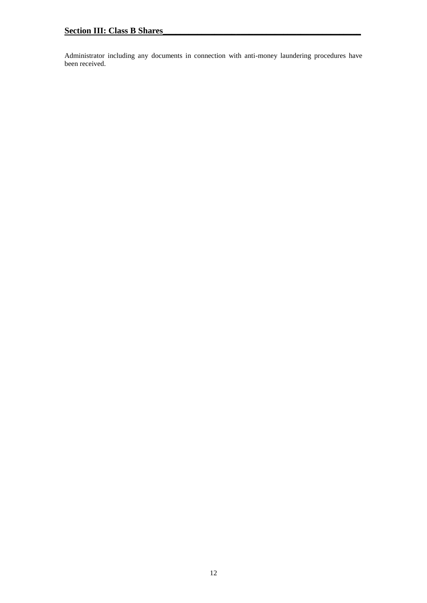Administrator including any documents in connection with anti-money laundering procedures have been received.